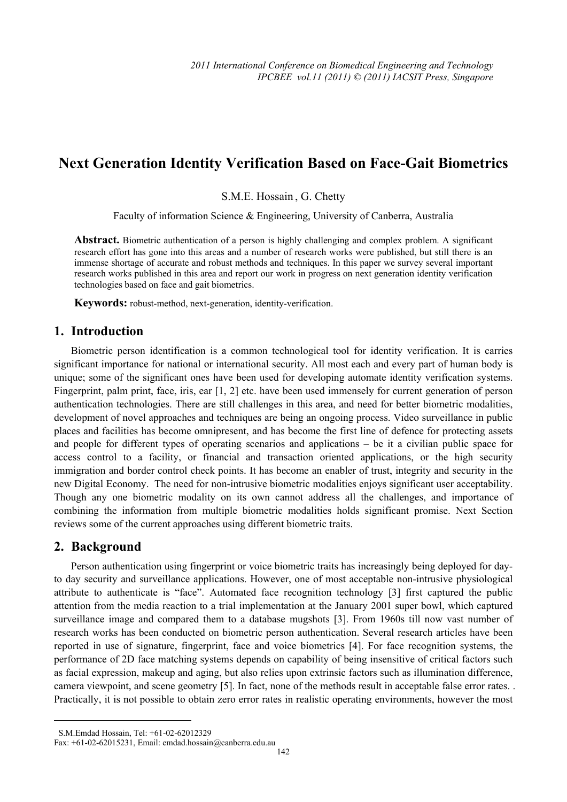# **Next Generation Identity Verification Based on Face-Gait Biometrics**

S.M.E. Hossain , G. Chetty

Faculty of information Science & Engineering, University of Canberra, Australia

**Abstract.** Biometric authentication of a person is highly challenging and complex problem. A significant research effort has gone into this areas and a number of research works were published, but still there is an immense shortage of accurate and robust methods and techniques. In this paper we survey several important research works published in this area and report our work in progress on next generation identity verification technologies based on face and gait biometrics.

**Keywords:** robust-method, next-generation, identity-verification.

## **1. Introduction**

Biometric person identification is a common technological tool for identity verification. It is carries significant importance for national or international security. All most each and every part of human body is unique; some of the significant ones have been used for developing automate identity verification systems. Fingerprint, palm print, face, iris, ear [1, 2] etc. have been used immensely for current generation of person authentication technologies. There are still challenges in this area, and need for better biometric modalities, development of novel approaches and techniques are being an ongoing process. Video surveillance in public places and facilities has become omnipresent, and has become the first line of defence for protecting assets and people for different types of operating scenarios and applications – be it a civilian public space for access control to a facility, or financial and transaction oriented applications, or the high security immigration and border control check points. It has become an enabler of trust, integrity and security in the new Digital Economy. The need for non-intrusive biometric modalities enjoys significant user acceptability. Though any one biometric modality on its own cannot address all the challenges, and importance of combining the information from multiple biometric modalities holds significant promise. Next Section reviews some of the current approaches using different biometric traits.

### **2. Background**

 $\overline{a}$ 

Person authentication using fingerprint or voice biometric traits has increasingly being deployed for dayto day security and surveillance applications. However, one of most acceptable non-intrusive physiological attribute to authenticate is "face". Automated face recognition technology [3] first captured the public attention from the media reaction to a trial implementation at the January 2001 super bowl, which captured surveillance image and compared them to a database mugshots [3]. From 1960s till now vast number of research works has been conducted on biometric person authentication. Several research articles have been reported in use of signature, fingerprint, face and voice biometrics [4]. For face recognition systems, the performance of 2D face matching systems depends on capability of being insensitive of critical factors such as facial expression, makeup and aging, but also relies upon extrinsic factors such as illumination difference, camera viewpoint, and scene geometry [5]. In fact, none of the methods result in acceptable false error rates. . Practically, it is not possible to obtain zero error rates in realistic operating environments, however the most

S.M.Emdad Hossain, Tel: +61-02-62012329

Fax: +61-02-62015231, Email: emdad.hossain@canberra.edu.au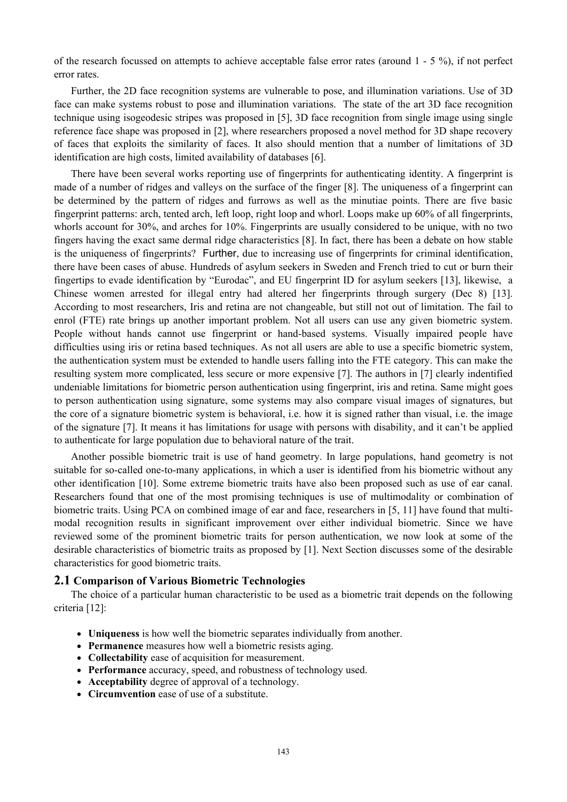of the research focussed on attempts to achieve acceptable false error rates (around 1 - 5 %), if not perfect error rates.

Further, the 2D face recognition systems are vulnerable to pose, and illumination variations. Use of 3D face can make systems robust to pose and illumination variations. The state of the art 3D face recognition technique using isogeodesic stripes was proposed in [5], 3D face recognition from single image using single reference face shape was proposed in [2], where researchers proposed a novel method for 3D shape recovery of faces that exploits the similarity of faces. It also should mention that a number of limitations of 3D identification are high costs, limited availability of databases [6].

There have been several works reporting use of fingerprints for authenticating identity. A fingerprint is made of a number of ridges and valleys on the surface of the finger [8]. The uniqueness of a fingerprint can be determined by the pattern of ridges and furrows as well as the minutiae points. There are five basic fingerprint patterns: arch, tented arch, left loop, right loop and whorl. Loops make up 60% of all fingerprints, whorls account for 30%, and arches for 10%. Fingerprints are usually considered to be unique, with no two fingers having the exact same dermal ridge characteristics [8]. In fact, there has been a debate on how stable is the uniqueness of fingerprints? Further, due to increasing use of fingerprints for criminal identification, there have been cases of abuse. Hundreds of asylum seekers in Sweden and French tried to cut or burn their fingertips to evade identification by "Eurodac", and EU fingerprint ID for asylum seekers [13], likewise, a Chinese women arrested for illegal entry had altered her fingerprints through surgery (Dec 8) [13]. According to most researchers, Iris and retina are not changeable, but still not out of limitation. The fail to enrol (FTE) rate brings up another important problem. Not all users can use any given biometric system. People without hands cannot use fingerprint or hand-based systems. Visually impaired people have difficulties using iris or retina based techniques. As not all users are able to use a specific biometric system, the authentication system must be extended to handle users falling into the FTE category. This can make the resulting system more complicated, less secure or more expensive [7]. The authors in [7] clearly indentified undeniable limitations for biometric person authentication using fingerprint, iris and retina. Same might goes to person authentication using signature, some systems may also compare visual images of signatures, but the core of a signature biometric system is behavioral, i.e. how it is signed rather than visual, i.e. the image of the signature [7]. It means it has limitations for usage with persons with disability, and it can't be applied to authenticate for large population due to behavioral nature of the trait.

Another possible biometric trait is use of hand geometry. In large populations, hand geometry is not suitable for so-called one-to-many applications, in which a user is identified from his biometric without any other identification [10]. Some extreme biometric traits have also been proposed such as use of ear canal. Researchers found that one of the most promising techniques is use of multimodality or combination of biometric traits. Using PCA on combined image of ear and face, researchers in [5, 11] have found that multimodal recognition results in significant improvement over either individual biometric. Since we have reviewed some of the prominent biometric traits for person authentication, we now look at some of the desirable characteristics of biometric traits as proposed by [1]. Next Section discusses some of the desirable characteristics for good biometric traits.

#### **2.1 Comparison of Various Biometric Technologies**

The choice of a particular human characteristic to be used as a biometric trait depends on the following criteria [12]:

- **Uniqueness** is how well the biometric separates individually from another.
- **Permanence** measures how well a biometric resists aging.
- **Collectability** ease of acquisition for measurement.
- **Performance** accuracy, speed, and robustness of technology used.
- **Acceptability** degree of approval of a technology.
- **Circumvention** ease of use of a substitute.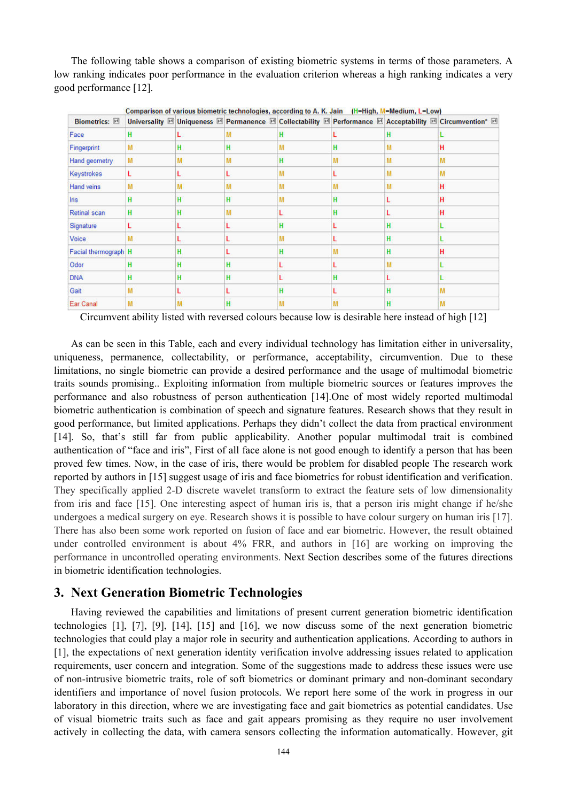The following table shows a comparison of existing biometric systems in terms of those parameters. A low ranking indicates poor performance in the evaluation criterion whereas a high ranking indicates a very good performance [12].

| Biometrics: M        |   |   |   | Comparison of various biometric technologies, according to A. K. Jain (H=High, M=Medium, L=Low) |   |   | Universality <b>El Uniqueness</b> El Permanence El Collectability El Performance El Acceptability El Circumvention* El |
|----------------------|---|---|---|-------------------------------------------------------------------------------------------------|---|---|------------------------------------------------------------------------------------------------------------------------|
|                      |   |   |   |                                                                                                 |   |   |                                                                                                                        |
| Face                 | н |   | М |                                                                                                 |   | н |                                                                                                                        |
| Fingerprint          | М | н | H |                                                                                                 | н | м | н                                                                                                                      |
| Hand geometry        | M | M | M | н                                                                                               | М | M | м                                                                                                                      |
| Keystrokes           |   |   |   | M                                                                                               |   | M | м                                                                                                                      |
| Hand veins           | М | M | M | M                                                                                               | М | М | н                                                                                                                      |
| lns                  | н | н | H | M                                                                                               | н |   | н                                                                                                                      |
| Retinal scan         | н | н | м |                                                                                                 |   |   | н                                                                                                                      |
| Signature            |   |   |   | н                                                                                               |   | H |                                                                                                                        |
| Voice                | м |   |   | M                                                                                               |   | H |                                                                                                                        |
| Facial thermograph H |   | н |   |                                                                                                 |   | н | н                                                                                                                      |
| Odor                 | н | н | H |                                                                                                 |   | м |                                                                                                                        |
| <b>DNA</b>           | н | H | H |                                                                                                 | н |   |                                                                                                                        |
| Gait                 |   |   |   |                                                                                                 |   | н |                                                                                                                        |
| Ear Canal            | M | M | H | М                                                                                               | М | H | м                                                                                                                      |

Circumvent ability listed with reversed colours because low is desirable here instead of high [12]

As can be seen in this Table, each and every individual technology has limitation either in universality, uniqueness, permanence, collectability, or performance, acceptability, circumvention. Due to these limitations, no single biometric can provide a desired performance and the usage of multimodal biometric traits sounds promising.. Exploiting information from multiple biometric sources or features improves the performance and also robustness of person authentication [14].One of most widely reported multimodal biometric authentication is combination of speech and signature features. Research shows that they result in good performance, but limited applications. Perhaps they didn't collect the data from practical environment [14]. So, that's still far from public applicability. Another popular multimodal trait is combined authentication of "face and iris", First of all face alone is not good enough to identify a person that has been proved few times. Now, in the case of iris, there would be problem for disabled people The research work reported by authors in [15] suggest usage of iris and face biometrics for robust identification and verification. They specifically applied 2-D discrete wavelet transform to extract the feature sets of low dimensionality from iris and face [15]. One interesting aspect of human iris is, that a person iris might change if he/she undergoes a medical surgery on eye. Research shows it is possible to have colour surgery on human iris [17]. There has also been some work reported on fusion of face and ear biometric. However, the result obtained under controlled environment is about 4% FRR, and authors in [16] are working on improving the performance in uncontrolled operating environments. Next Section describes some of the futures directions in biometric identification technologies.

## **3. Next Generation Biometric Technologies**

Having reviewed the capabilities and limitations of present current generation biometric identification technologies [1], [7], [9], [14], [15] and [16], we now discuss some of the next generation biometric technologies that could play a major role in security and authentication applications. According to authors in [1], the expectations of next generation identity verification involve addressing issues related to application requirements, user concern and integration. Some of the suggestions made to address these issues were use of non-intrusive biometric traits, role of soft biometrics or dominant primary and non-dominant secondary identifiers and importance of novel fusion protocols. We report here some of the work in progress in our laboratory in this direction, where we are investigating face and gait biometrics as potential candidates. Use of visual biometric traits such as face and gait appears promising as they require no user involvement actively in collecting the data, with camera sensors collecting the information automatically. However, git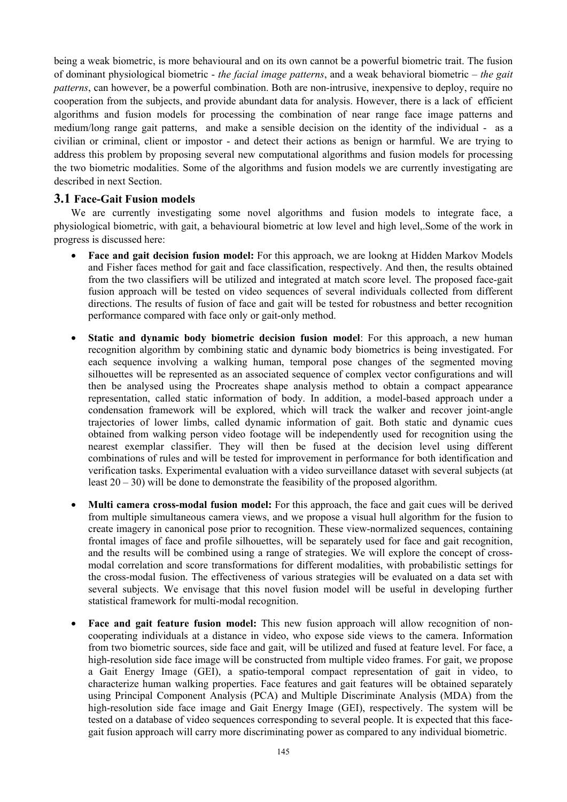being a weak biometric, is more behavioural and on its own cannot be a powerful biometric trait. The fusion of dominant physiological biometric - *the facial image patterns*, and a weak behavioral biometric – *the gait patterns*, can however, be a powerful combination. Both are non-intrusive, inexpensive to deploy, require no cooperation from the subjects, and provide abundant data for analysis. However, there is a lack of efficient algorithms and fusion models for processing the combination of near range face image patterns and medium/long range gait patterns, and make a sensible decision on the identity of the individual - as a civilian or criminal, client or impostor - and detect their actions as benign or harmful. We are trying to address this problem by proposing several new computational algorithms and fusion models for processing the two biometric modalities. Some of the algorithms and fusion models we are currently investigating are described in next Section.

### **3.1 Face-Gait Fusion models**

We are currently investigating some novel algorithms and fusion models to integrate face, a physiological biometric, with gait, a behavioural biometric at low level and high level,.Some of the work in progress is discussed here:

- **Face and gait decision fusion model:** For this approach, we are lookng at Hidden Markov Models and Fisher faces method for gait and face classification, respectively. And then, the results obtained from the two classifiers will be utilized and integrated at match score level. The proposed face-gait fusion approach will be tested on video sequences of several individuals collected from different directions. The results of fusion of face and gait will be tested for robustness and better recognition performance compared with face only or gait-only method.
- **Static and dynamic body biometric decision fusion model**: For this approach, a new human recognition algorithm by combining static and dynamic body biometrics is being investigated. For each sequence involving a walking human, temporal pose changes of the segmented moving silhouettes will be represented as an associated sequence of complex vector configurations and will then be analysed using the Procreates shape analysis method to obtain a compact appearance representation, called static information of body. In addition, a model-based approach under a condensation framework will be explored, which will track the walker and recover joint-angle trajectories of lower limbs, called dynamic information of gait. Both static and dynamic cues obtained from walking person video footage will be independently used for recognition using the nearest exemplar classifier. They will then be fused at the decision level using different combinations of rules and will be tested for improvement in performance for both identification and verification tasks. Experimental evaluation with a video surveillance dataset with several subjects (at least  $20 - 30$ ) will be done to demonstrate the feasibility of the proposed algorithm.
- **Multi camera cross-modal fusion model:** For this approach, the face and gait cues will be derived from multiple simultaneous camera views, and we propose a visual hull algorithm for the fusion to create imagery in canonical pose prior to recognition. These view-normalized sequences, containing frontal images of face and profile silhouettes, will be separately used for face and gait recognition, and the results will be combined using a range of strategies. We will explore the concept of crossmodal correlation and score transformations for different modalities, with probabilistic settings for the cross-modal fusion. The effectiveness of various strategies will be evaluated on a data set with several subjects. We envisage that this novel fusion model will be useful in developing further statistical framework for multi-modal recognition.
- **Face and gait feature fusion model:** This new fusion approach will allow recognition of noncooperating individuals at a distance in video, who expose side views to the camera. Information from two biometric sources, side face and gait, will be utilized and fused at feature level. For face, a high-resolution side face image will be constructed from multiple video frames. For gait, we propose a Gait Energy Image (GEI), a spatio-temporal compact representation of gait in video, to characterize human walking properties. Face features and gait features will be obtained separately using Principal Component Analysis (PCA) and Multiple Discriminate Analysis (MDA) from the high-resolution side face image and Gait Energy Image (GEI), respectively. The system will be tested on a database of video sequences corresponding to several people. It is expected that this facegait fusion approach will carry more discriminating power as compared to any individual biometric.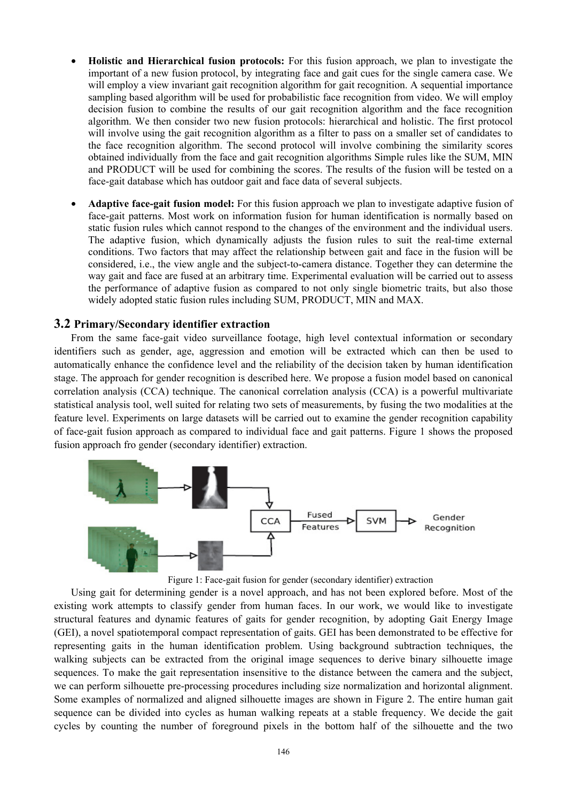- **Holistic and Hierarchical fusion protocols:** For this fusion approach, we plan to investigate the important of a new fusion protocol, by integrating face and gait cues for the single camera case. We will employ a view invariant gait recognition algorithm for gait recognition. A sequential importance sampling based algorithm will be used for probabilistic face recognition from video. We will employ decision fusion to combine the results of our gait recognition algorithm and the face recognition algorithm. We then consider two new fusion protocols: hierarchical and holistic. The first protocol will involve using the gait recognition algorithm as a filter to pass on a smaller set of candidates to the face recognition algorithm. The second protocol will involve combining the similarity scores obtained individually from the face and gait recognition algorithms Simple rules like the SUM, MIN and PRODUCT will be used for combining the scores. The results of the fusion will be tested on a face-gait database which has outdoor gait and face data of several subjects.
- **Adaptive face-gait fusion model:** For this fusion approach we plan to investigate adaptive fusion of face-gait patterns. Most work on information fusion for human identification is normally based on static fusion rules which cannot respond to the changes of the environment and the individual users. The adaptive fusion, which dynamically adjusts the fusion rules to suit the real-time external conditions. Two factors that may affect the relationship between gait and face in the fusion will be considered, i.e., the view angle and the subject-to-camera distance. Together they can determine the way gait and face are fused at an arbitrary time. Experimental evaluation will be carried out to assess the performance of adaptive fusion as compared to not only single biometric traits, but also those widely adopted static fusion rules including SUM, PRODUCT, MIN and MAX.

#### **3.2 Primary/Secondary identifier extraction**

From the same face-gait video surveillance footage, high level contextual information or secondary identifiers such as gender, age, aggression and emotion will be extracted which can then be used to automatically enhance the confidence level and the reliability of the decision taken by human identification stage. The approach for gender recognition is described here. We propose a fusion model based on canonical correlation analysis (CCA) technique. The canonical correlation analysis (CCA) is a powerful multivariate statistical analysis tool, well suited for relating two sets of measurements, by fusing the two modalities at the feature level. Experiments on large datasets will be carried out to examine the gender recognition capability of face-gait fusion approach as compared to individual face and gait patterns. Figure 1 shows the proposed fusion approach fro gender (secondary identifier) extraction.



Figure 1: Face-gait fusion for gender (secondary identifier) extraction

Using gait for determining gender is a novel approach, and has not been explored before. Most of the existing work attempts to classify gender from human faces. In our work, we would like to investigate structural features and dynamic features of gaits for gender recognition, by adopting Gait Energy Image (GEI), a novel spatiotemporal compact representation of gaits. GEI has been demonstrated to be effective for representing gaits in the human identification problem. Using background subtraction techniques, the walking subjects can be extracted from the original image sequences to derive binary silhouette image sequences. To make the gait representation insensitive to the distance between the camera and the subject, we can perform silhouette pre-processing procedures including size normalization and horizontal alignment. Some examples of normalized and aligned silhouette images are shown in Figure 2. The entire human gait sequence can be divided into cycles as human walking repeats at a stable frequency. We decide the gait cycles by counting the number of foreground pixels in the bottom half of the silhouette and the two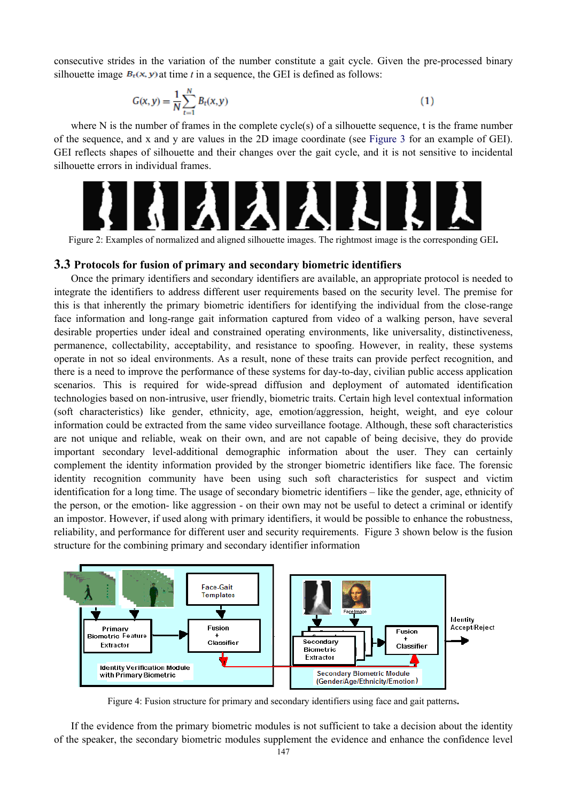consecutive strides in the variation of the number constitute a gait cycle. Given the pre-processed binary silhouette image  $B_t(x, y)$  at time *t* in a sequence, the GEI is defined as follows:

$$
G(x, y) = \frac{1}{N} \sum_{t=1}^{N} B_t(x, y)
$$

 $(1)$ 

where N is the number of frames in the complete cycle(s) of a silhouette sequence, t is the frame number of the sequence, and x and y are values in the 2D image coordinate (see Figure 3 for an example of GEI). GEI reflects shapes of silhouette and their changes over the gait cycle, and it is not sensitive to incidental silhouette errors in individual frames.



Figure 2: Examples of normalized and aligned silhouette images. The rightmost image is the corresponding GEI**.** 

#### **3.3 Protocols for fusion of primary and secondary biometric identifiers**

Once the primary identifiers and secondary identifiers are available, an appropriate protocol is needed to integrate the identifiers to address different user requirements based on the security level. The premise for this is that inherently the primary biometric identifiers for identifying the individual from the close-range face information and long-range gait information captured from video of a walking person, have several desirable properties under ideal and constrained operating environments, like universality, distinctiveness, permanence, collectability, acceptability, and resistance to spoofing. However, in reality, these systems operate in not so ideal environments. As a result, none of these traits can provide perfect recognition, and there is a need to improve the performance of these systems for day-to-day, civilian public access application scenarios. This is required for wide-spread diffusion and deployment of automated identification technologies based on non-intrusive, user friendly, biometric traits. Certain high level contextual information (soft characteristics) like gender, ethnicity, age, emotion/aggression, height, weight, and eye colour information could be extracted from the same video surveillance footage. Although, these soft characteristics are not unique and reliable, weak on their own, and are not capable of being decisive, they do provide important secondary level-additional demographic information about the user. They can certainly complement the identity information provided by the stronger biometric identifiers like face. The forensic identity recognition community have been using such soft characteristics for suspect and victim identification for a long time. The usage of secondary biometric identifiers – like the gender, age, ethnicity of the person, or the emotion- like aggression - on their own may not be useful to detect a criminal or identify an impostor. However, if used along with primary identifiers, it would be possible to enhance the robustness, reliability, and performance for different user and security requirements. Figure 3 shown below is the fusion structure for the combining primary and secondary identifier information



Figure 4: Fusion structure for primary and secondary identifiers using face and gait patterns**.** 

If the evidence from the primary biometric modules is not sufficient to take a decision about the identity of the speaker, the secondary biometric modules supplement the evidence and enhance the confidence level